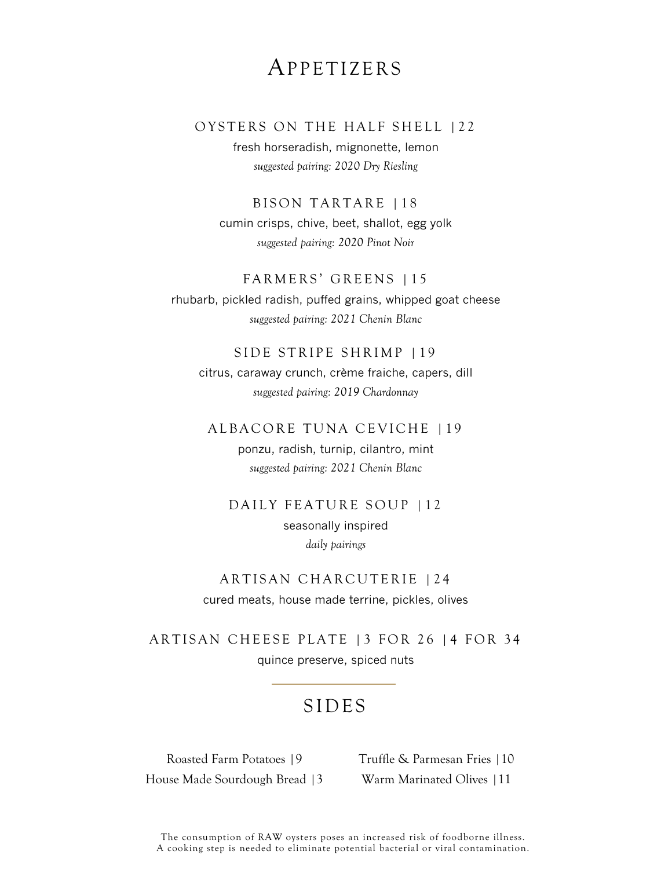# APPETIZERS

### OYSTERS ON THE HALF SHELL | 22

fresh horseradish, mignonette, lemon *suggested pairing: 2020 Dry Riesling*

BISON TARTARE | 18

cumin crisps, chive, beet, shallot, egg yolk *suggested pairing: 2020 Pinot Noir*

#### FARMERS' GREENS | 15

rhubarb, pickled radish, puffed grains, whipped goat cheese *suggested pairing: 2021 Chenin Blanc*

### SIDE STRIPE SHRIMP | 19

citrus, caraway crunch, crème fraiche, capers, dill *suggested pairing: 2019 Chardonnay*

### ALBACORE TUNA CEVICHE | 19

ponzu, radish, turnip, cilantro, mint *suggested pairing: 2021 Chenin Blanc*

## DAILY FEATURE SOUP | 12

seasonally inspired *daily pairings*

# ARTISAN CHARCUTERIE | 24 cured meats, house made terrine, pickles, olives

ARTISAN CHEESE PLATE | 3 FOR 26 | 4 FOR 34 quince preserve, spiced nuts

# S I D E S

Roasted Farm Potatoes |9 House Made Sourdough Bread |3 Truffle & Parmesan Fries |10 Warm Marinated Olives |11